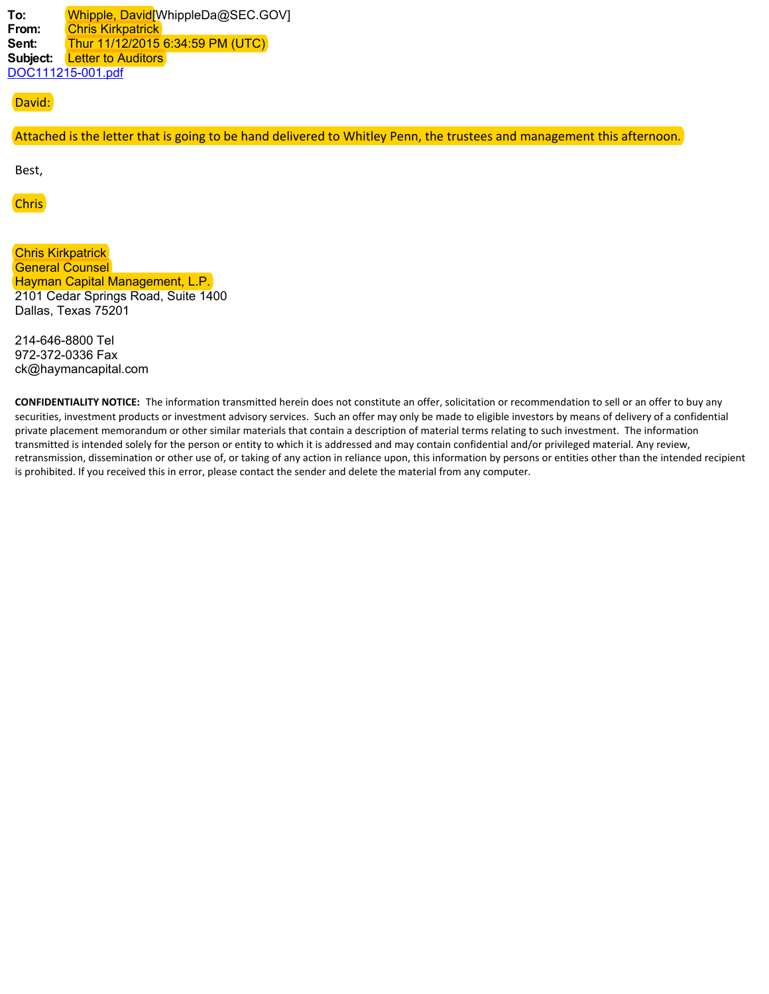**To:** Whipple, David[WhippleDa@SEC.GOV] **From:** Chris Kirkpatrick **Sent:** Thur 11/12/2015 6:34:59 PM (UTC) Subject: **Letter to Auditors** DOC111215-001.pdf

# David:

Attached is the letter that is going to be hand delivered to Whitley Penn, the trustees and management this afternoon.

Best,

# Chris

Chris Kirkpatrick General Counsel Hayman Capital Management, L.P. 2101 Cedar Springs Road, Suite 1400 Dallas, Texas 75201

214-646-8800 Tel 972-372-0336 Fax ck@haymancapital.com

**CONFIDENTIALITY NOTICE:** The information transmitted herein does not constitute an offer, solicitation or recommendation to sell or an offer to buy any securities, investment products or investment advisory services. Such an offer may only be made to eligible investors by means of delivery of a confidential private placement memorandum or other similar materials that contain a description of material terms relating to such investment. The information transmitted is intended solely for the person or entity to which it is addressed and may contain confidential and/or privileged material. Any review, retransmission, dissemination or other use of, or taking of any action in reliance upon, this information by persons or entities other than the intended recipient is prohibited. If you received this in error, please contact the sender and delete the material from any computer.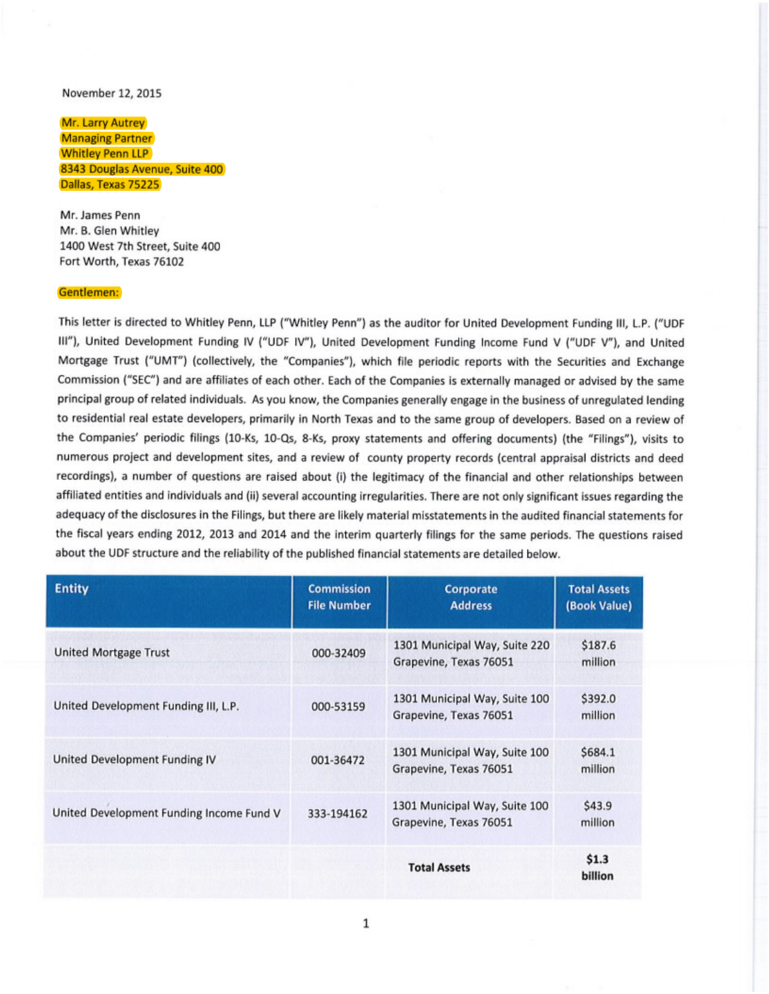### November 12, 2015

## Mr. Larry Autrey Managing Partner Whitley Penn LLP 8343 Douglas Avenue, Suite 400 Dallas, Texas 75225

**Mr. James Penn Mr. 8.** Glen Whitley 1400 West 7th Street, Suite 400 Fort Worth, Texas 76102

### **Gentlemen:**

This letter is directed to Whitley Penn, LLP ("Whitley Penn") as the auditor for United Development Funding III, L.P. ("UDF 111"), United Development Funding IV ("UDF IV"), United Development Funding Income Fund V ("UDF V"), and United Mortgage Trust ("UMT") (collectively, the "Companies"), which file periodic reports with the Securities and Exchange Commission ("SEC") and are affiliates of each other. Each of the Companies is externally managed or advised by the same principal group of related individuals. As you know, the Companies generally engage in the business of unregulated lending to residential real estate developers, primarily in North Texas and to the same group of developers. Based on a review of the Companies' periodic filings (10-Ks, 10-Os, 8-Ks, proxy statements and offering documents) (the "Filings"), visits to numerous project and development sites, and a review of county property records (central appraisal districts and deed recordings), a number of questions are raised about (i) the legitimacy of the financial and other relationships between affiliated entities and individuals and (ii) several accounting irregularities. There are not only significant issues regarding the adequacy of the disclosures in the Filings, but there are likely material misstatements in the audited financial statements for the fiscal years ending 2012, 2013 and 2014 and the interim quarterly filings for the same periods. The questions raised about the UDF structure and the reliability of the published financial statements are detailed below.

| <b>Entity</b>                            | <b>Commission</b><br><b>File Number</b> | Corporate<br><b>Address</b>                             | <b>Total Assets</b><br>(Book Value) |
|------------------------------------------|-----------------------------------------|---------------------------------------------------------|-------------------------------------|
| <b>United Mortgage Trust</b>             | 000-32409                               | 1301 Municipal Way, Suite 220<br>Grapevine, Texas 76051 | \$187.6<br>million                  |
| United Development Funding III, L.P.     | 000-53159                               | 1301 Municipal Way, Suite 100<br>Grapevine, Texas 76051 | \$392.0<br>million                  |
| United Development Funding IV            | 001-36472                               | 1301 Municipal Way, Suite 100<br>Grapevine, Texas 76051 | \$684.1<br>million                  |
| United Development Funding Income Fund V | 333-194162                              | 1301 Municipal Way, Suite 100<br>Grapevine, Texas 76051 | \$43.9<br>million                   |
|                                          |                                         | <b>Total Assets</b>                                     | \$1.3<br>billion                    |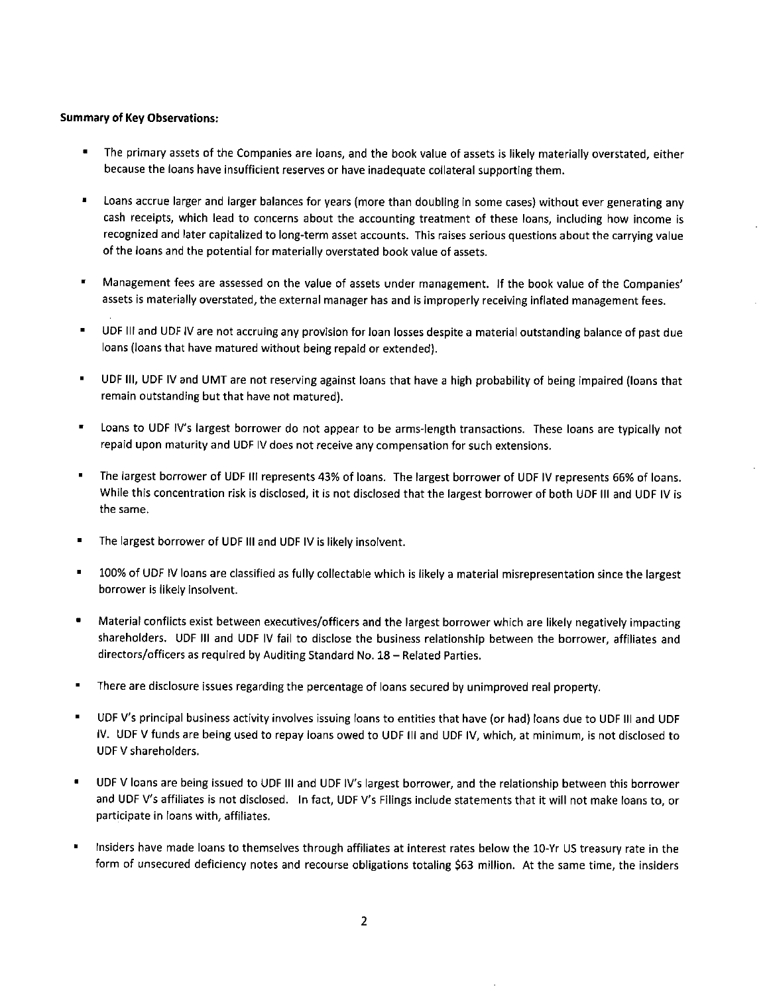### **Summary of Key Observations:**

- The primary assets of the Companies are loans, and the book value of assets is likely materially overstated, either because the loans have insufficient reserves or have inadequate collateral supporting them.
- Loans accrue larger and larger balances for years (more than doubling in some cases) without ever generating any cash receipts, which lead to concerns about the accounting treatment of these loans, including how income is recognized and later capitalized to long-term asset accounts. This raises serious questions about the carrying value of the loans and the potential for materially overstated book value of assets.
- Management fees are assessed on the value of assets under management. If the book value of the Companies' assets is materially overstated, the external manager has and is improperly receiving inflated management fees.
- UDF Ill and UDF IV are not accruing any provision for loan losses despite a material outstanding balance of past due loans (loans that have matured without being repaid or extended).
- UDF Ill, UDF IV and UMT are not reserving against loans that have a high probability of being impaired (loans that remain outstanding but that have not matured).
- Loans to UDF IV's largest borrower do not appear to be arms-length transactions. These loans are typically not repaid upon maturity and UDF IV does not receive any compensation for such extensions.
- The largest borrower of UDF Ill represents 43% of loans. The largest borrower of UDF IV represents 66% of loans. While this concentration risk is disclosed, it is not disclosed that the largest borrower of both UDF Ill and UDF IV is the same.
- The largest borrower of UDF III and UDF IV is likely insolvent.
- 100% of UDF IV loans are classified as fully collectable which is likely a material misrepresentation since the largest borrower is likely insolvent.
- Material conflicts exist between executives/officers and the largest borrower which are likely negatively impacting shareholders. UDF Ill and UDF IV fail to disclose the business relationship between the borrower, affiliates and directors/officers as required by Auditing Standard No. 18 - Related Parties.
- There are disclosure issues regarding the percentage of loans secured by unimproved real property.
- UDF V's principal business activity involves issuing loans to entities that have (or had) loans due to UDF Ill and UDF IV. UDF V funds are being used to repay loans owed to UDF Ill and UDF IV, which, at minimum, is not disclosed to UDF V shareholders.
- UDF V loans are being issued to UDF Ill and UDF IV's largest borrower, and the relationship between this borrower and UDF V's affiliates is not disclosed. In fact, UDF V's Filings include statements that it will not make loans to, or participate in loans with, affiliates.
- Insiders have made loans to themselves through affiliates at interest rates below the 10-Yr US treasury rate in the form of unsecured deficiency notes and recourse obligations totaling \$63 million. At the same time, the insiders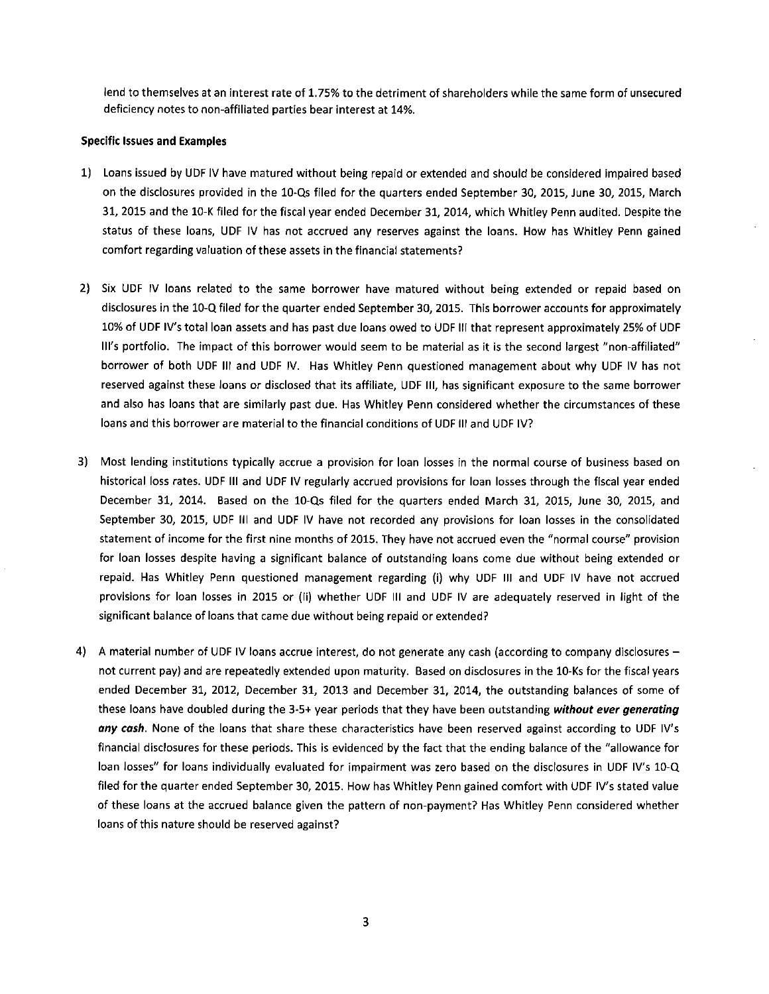lend to themselves at an interest rate of 1. 75% to the detriment of shareholders while the same form of unsecured deficiency notes to non-affiliated parties bear interest at 14%.

### **Specific Issues and Examples**

- 1) Loans issued by UDF IV have matured without being repaid or extended and should be considered impaired based on the disclosures provided in the 10-Qs filed for the quarters ended September 30, 2015, June 30, 2015, March 31, 2015 and the 10-K filed for the fiscal year ended December 31, 2014, which Whitley Penn audited. Despite the status of these loans, UDF IV has not accrued any reserves against the loans. How has Whitley Penn gained comfort regarding valuation of these assets in the financial statements?
- 2} Six UDF IV loans related to the same borrower have matured without being extended or repaid based on disclosures in the 10-Q filed for the quarter ended September 30, 2015. This borrower accounts for approximately 10% of UDF IV's total loan assets and has past due loans owed to UDF Ill that represent approximately 25% of UDF Ill's portfolio. The impact of this borrower would seem to be material as it is the second largest "non-affiliated" borrower of both UDF Ill and UDF IV. Has Whitley Penn questioned management about why UDF IV has not reserved against these loans or disclosed that its affiliate, UDF Ill, has significant exposure to the same borrower and also has loans that are similarly past due. Has Whitley Penn considered whether the circumstances of these loans and this borrower are material to the financial conditions of UDF Ill and UDF IV?
- 3) Most lending institutions typically accrue a provision for loan losses in the normal course of business based on historical loss rates. UDF Ill and UDF IV regularly accrued provisions for loan losses through the fiscal year ended December 31, 2014. Based on the 10-Qs filed for the quarters ended March 31, 2015, June 30, 2015, and September 30, 2015, UDF Ill and UDF IV have not recorded any provisions for loan losses in the consolidated statement of income for the first nine months of 2015. They have not accrued even the "normal course" provision for loan losses despite having a significant balance of outstanding loans come due without being extended or repaid. Has Whitley Penn questioned management regarding (i) why UDF Ill and UDF IV have not accrued provisions for loan losses in 2015 or (ii) whether UDF Ill and UDF IV are adequately reserved in light of the significant balance of loans that came due without being repaid or extended?
- 4) A material number of UDF IV loans accrue interest, do not generate any cash (according to company disclosures not current pay} and are repeatedly extended upon maturity. Based on disclosures in the 10-Ks for the fiscal years ended December 31, 2012, December 31, 2013 and December 31, 2014, the outstanding balances of some of these loans have doubled during the 3-5+ year periods that they have been outstanding *without ever generating any cash.* None of the loans that share these characteristics have been reserved against according to UDF IV's financial disclosures for these periods. This is evidenced by the fact that the ending balance of the "allowance for loan losses" for loans individually evaluated for impairment was zero based on the disclosures in UDF IV's 10-Q filed for the quarter ended September 30, 2015. How has Whitley Penn gained comfort with UDF IV's stated value of these loans at the accrued balance given the pattern of non-payment? Has Whitley Penn considered whether loans of this nature should be reserved against?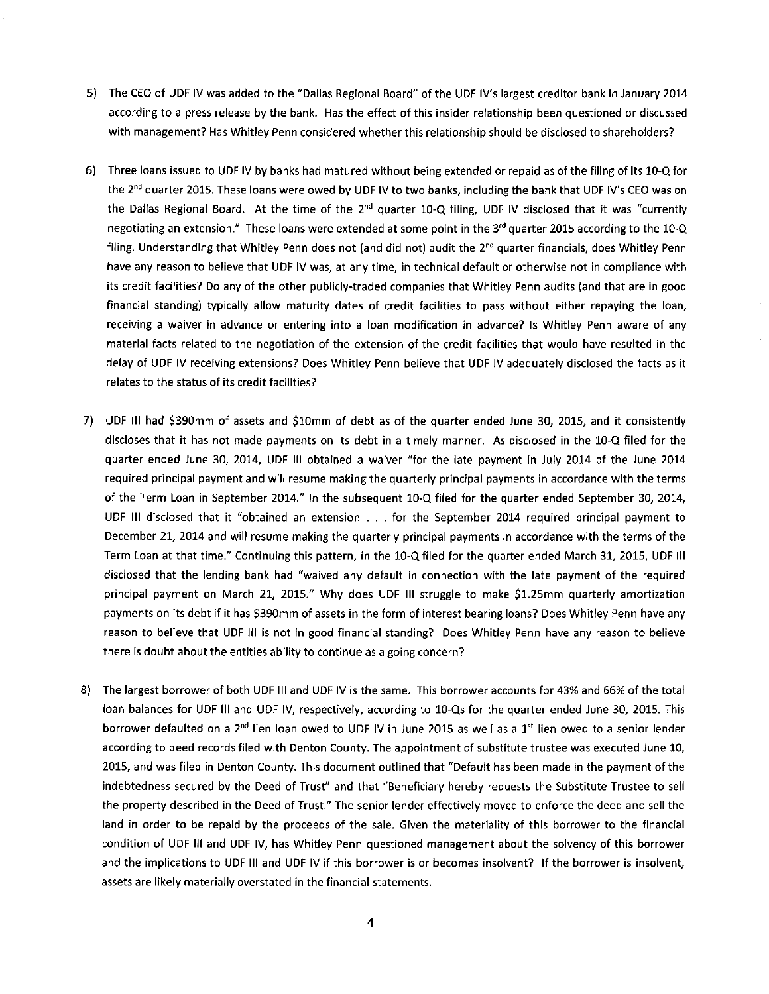- 5) The CEO of UDF IV was added to the "Dallas Regional Board" of the UDF IV's largest creditor bank in January 2014 according to a press release by the bank. Has the effect of this insider relationship been questioned or discussed with management? Has Whitley Penn considered whether this relationship should be disclosed to shareholders?
- 6) Three loans issued to UDF IV by banks had matured without being extended or repaid as of the filing of its 10-Q for the 2<sup>nd</sup> quarter 2015. These loans were owed by UDF IV to two banks, including the bank that UDF IV's CEO was on the Dallas Regional Board. At the time of the 2<sup>nd</sup> quarter 10-Q filing, UDF IV disclosed that it was "currently negotiating an extension." These loans were extended at some point in the 3<sup>rd</sup> quarter 2015 according to the 10-Q filing. Understanding that Whitley Penn does not (and did not) audit the  $2^{nd}$  quarter financials, does Whitley Penn have any reason to believe that UDF IV was, at any time, in technical default or otherwise not in compliance with its credit facilities? Do any of the other publicly-traded companies that Whitley Penn audits (and that are in good financial standing) typically allow maturity dates of credit facilities to pass without either repaying the loan, receiving a waiver in advance or entering into a loan modification in advance? Is Whitley Penn aware of any material facts related to the negotiation of the extension of the credit facilities that would have resulted in the delay of UDF IV receiving extensions? Does Whitley Penn believe that UDF IV adequately disclosed the facts as it relates to the status of its credit facilities?
- 7) UDF Ill had \$390mm of assets and \$10mm of debt as of the quarter ended June 30, 2015, and it consistently discloses that it has not made payments on its debt in a timely manner. As disclosed in the 10-Q filed for the quarter ended June 30, 2014, UDF Ill obtained a waiver "for the late payment in July 2014 of the June 2014 required principal payment and will resume making the quarterly principal payments in accordance with the terms of the Term Loan in September 2014." In the subsequent 10-Q filed for the quarter ended September 30, 2014, UDF Ill disclosed that it "obtained an extension ... for the September 2014 required principal payment to December 21, 2014 and will resume making the quarterly principal payments in accordance with the terms of the Term Loan at that time." Continuing this pattern, in the 10-Q filed for the quarter ended March 31, 2015, UDF Ill disclosed that the lending bank had "waived any default in connection with the late payment of the required principal payment on March 21, 2015." Why does UDF Ill struggle to make \$1.25mm quarterly amortization payments on its debt if it has \$390mm of assets in the form of interest bearing loans? Does Whitley Penn have any reason to believe that UDF Ill is not in good financial standing? Does Whitley Penn have any reason to believe there is doubt about the entities ability to continue as a going concern?
- 8) The largest borrower of both UDF III and UDF IV is the same. This borrower accounts for 43% and 66% of the total loan balances for UDF Ill and UDF IV, respectively, according to 10-Qs for the quarter ended June 30, 2015. This borrower defaulted on a 2<sup>nd</sup> lien loan owed to UDF IV in June 2015 as well as a 1<sup>st</sup> lien owed to a senior lender according to deed records filed with Denton County. The appointment of substitute trustee was executed June 10, 2015, and was filed in Denton County. This document outlined that "Default has been made in the payment of the indebtedness secured by the Deed of Trust" and that "Beneficiary hereby requests the Substitute Trustee to sell the property described in the Deed of Trust." The senior lender effectively moved to enforce the deed and sell the land in order to be repaid by the proceeds of the sale. Given the materiality of this borrower to the financial condition of UDF Ill and UDF IV, has Whitley Penn questioned management about the solvency of this borrower and the implications to UDF Ill and UDF IV if this borrower is or becomes insolvent? If the borrower is insolvent, assets are likely materially overstated in the financial statements.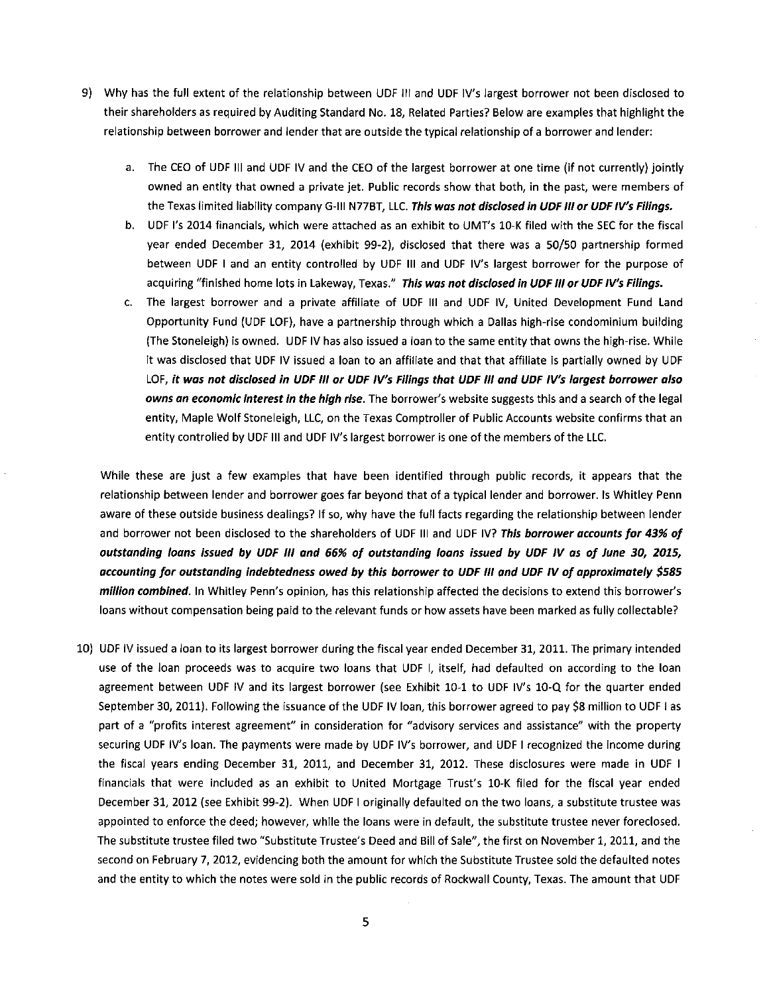- 9) Why has the full extent of the relationship between UDF Ill and UDF IV's largest borrower not been disclosed to their shareholders as required by Auditing Standard No. 18, Related Parties? Below are examples that highlight the relationship between borrower and lender that are outside the typical relationship of a borrower and lender:
	- a. The CEO of UDF Ill and UDF IV and the CEO of the largest borrower at one time (if not currently) jointly owned an entity that owned a private jet. Public records show that both, in the past, were members of the Texas limited liability company G-111 N77BT, LLC. **This was not disclosed in UDF** *Ill* **or UDF IV's Filings.**
	- b. UDF l's 2014 financials, which were attached as an exhibit to UMT's 10-K filed with the SEC for the fiscal year ended December 31, 2014 (exhibit 99-2), disclosed that there was a 50/50 partnership formed between UDF I and an entity controlled by UDF Ill and UDF IV's largest borrower for the purpose of acquiring "finished home lots in Lakeway, Texas." **This was not disclosed in UDF** Ill **or UDF IV's Filings.**
	- c. The largest borrower and a private affiliate of UDF Ill and UDF IV, United Development Fund Land Opportunity Fund (UDF LOF), have a partnership through which a Dallas high-rise condominium building (The Stoneleigh) is owned. UDF IV has also issued a loan to the same entity that owns the high-rise. While it was disclosed that UDF IV issued a loan to an affiliate and that that affiliate is partially owned by UDF LOF, **it was not disclosed in UDF** Ill **or UDF /V's Filings that UDF** Ill **and UDF IV's largest borrower also owns an economic interest in the high rise.** The borrower's website suggests this and a search of the legal entity, Maple Wolf Stoneleigh, LLC, on the Texas Comptroller of Public Accounts website confirms that an entity controlled by UDF Ill and UDF IV's largest borrower is one of the members of the LLC.

While these are just a few examples that have been identified through public records, it appears that the relationship between lender and borrower goes far beyond that of a typical lender and borrower. Is Whitley Penn aware of these outside business dealings? If so, why have the full facts regarding the relationship between lender and borrower not been disclosed to the shareholders of UDF Ill and UDF IV? **This borrower accounts for 43% of outstanding loans issued by UDF** *Ill* **and 66% of outstanding loans issued by UDF IV as of June 30, 2015, accounting for outstanding indebtedness owed by this borrower to UDF** Ill **and UDF IV of approximately \$585 million combined.** In Whitley Penn's opinion, has this relationship affected the decisions to extend this borrower's loans without compensation being paid to the relevant funds or how assets have been marked as fully collectable?

10) UDF IV issued a loan to its largest borrower during the fiscal year ended December 31, 2011. The primary intended use of the loan proceeds was to acquire two loans that UDF I, itself, had defaulted on according to the loan agreement between UDF IV and its largest borrower (see Exhibit 10-1 to UDF IV's 10-Q for the quarter ended September 30, 2011). Following the issuance of the UDF IV loan, this borrower agreed to pay \$8 million to UDF I as part of a "profits interest agreement" in consideration for "advisory services and assistance" with the property securing UDF IV's loan. The payments were made by UDF IV's borrower, and UDF I recognized the income during the fiscal years ending December 31, 2011, and December 31, 2012. These disclosures were made in UDF I financials that were included as an exhibit to United Mortgage Trust's 10-K filed for the fiscal year ended December 31, 2012 (see Exhibit 99-2). When UDF I originally defaulted on the two loans, a substitute trustee was appointed to enforce the deed; however, while the loans were in default, the substitute trustee never foreclosed. The substitute trustee filed two "Substitute Trustee's Deed and Bill of Sale", the first on November 1, 2011, and the second on February 7, 2012, evidencing both the amount for which the Substitute Trustee sold the defaulted notes and the entity to which the notes were sold in the public records of Rockwall County, Texas. The amount that UDF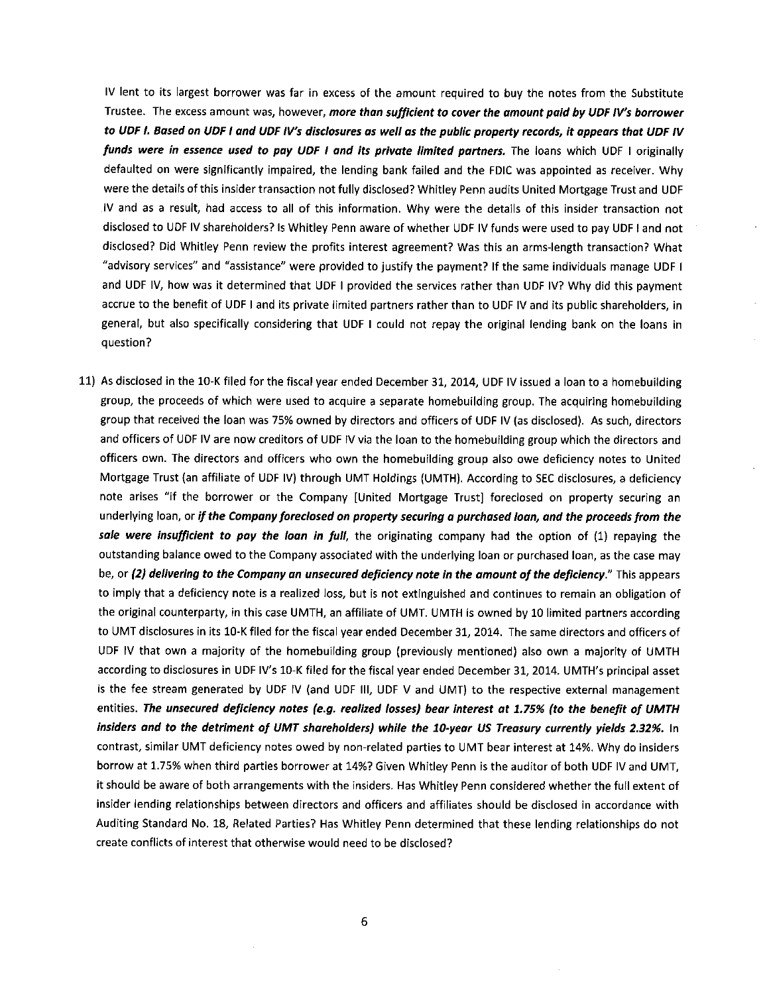IV lent to its largest borrower was far in excess of the amount required to buy the notes from the Substitute Trustee. The excess amount was, however, *more than sufficient to cover the amount paid by UDF IV's borrower to UDF* I. *Based on UDF* I *and UDF IV's disclosures as well as the public property records, it appears that UDF IV funds were in essence used to pay UDF* I *and its private limited partners.* The loans which UDF I originally defaulted on were significantly impaired, the lending bank failed and the FDIC was appointed as receiver. Why were the details of this insider transaction not fully disclosed? Whitley Penn audits United Mortgage Trust and UDF IV and as a result, had access to all of this information. Why were the details of this insider transaction not disclosed to UDF IV shareholders? Is Whitley Penn aware of whether UDF IV funds were used to pay UDF I and not disclosed? Did Whitley Penn review the profits interest agreement? Was this an arms-length transaction? What "advisory services" and "assistance" were provided to justify the payment? If the same individuals manage UDF I and UDF IV, how was it determined that UDF I provided the services rather than UDF IV? Why did this payment accrue to the benefit of UDF I and its private limited partners rather than to UDF IV and its public shareholders, in general, but also specifically considering that UDF I could not repay the original lending bank on the loans in question?

11) As disclosed in the 10-K filed for the fiscal year ended December 31, 2014, UDF IV issued a loan to a homebuilding group, the proceeds of which were used to acquire a separate homebuilding group. The acquiring homebuilding group that received the loan was 75% owned by directors and officers of UDF IV (as disclosed). As such, directors and officers of UDF IV are now creditors of UDF IV via the loan to the homebuilding group which the directors and officers own. The directors and officers who own the homebuilding group also owe deficiency notes to United Mortgage Trust (an affiliate of UDF IV) through UMT Holdings (UMTH). According to SEC disclosures, a deficiency note arises "if the borrower or the Company [United Mortgage Trust] foreclosed on property securing an underlying loan, or *if the Company foreclosed on property securing a purchased loan, and the proceeds from the sale were insufficient to poy the loan in full,* the originating company had the option of (1) repaying the outstanding balance owed to the Company associated with the underlying loan or purchased loan, as the case may be, or *(2) delivering to the Company an unsecured deficiency note in the amount of the deficiency."* This appears to imply that a deficiency note is a realized loss, but is not extinguished and continues to remain an obligation of the original counterparty, in this case UMTH, an affiliate of UMT. UMTH is owned by 10 limited partners according to UMT disclosures in its 10-K filed for the fiscal year ended December 31, 2014. The same directors and officers of UDF IV that own a majority of the homebuilding group (previously mentioned) also own a majority of UMTH according to disclosures in UDF IV's 10-K filed for the fiscal year ended December 31, 2014. UMTH's principal asset is the fee stream generated by UDF IV (and UDF 111, UDF V and UMT) to the respective external management entities. *The unsecured deficiency notes (e.g. realized losses) bear interest at 1.75% (to the benefit of UMTH*  insiders and to the detriment of UMT shareholders) while the 10-year US Treasury currently yields 2.32%. In contrast, similar UMT deficiency notes owed by non-related parties to UMT bear interest at 14%. Why do insiders borrow at 1.75% when third parties borrower at 14%? Given Whitley Penn is the auditor of both UDF IV and UMT, it should be aware of both arrangements with the insiders. Has Whitley Penn considered whether the full extent of insider lending relationships between directors and officers and affiliates should be disclosed in accordance **with**  Auditing Standard No. 18, Related Parties? Has Whitley Penn determined that these lending relationships do not create conflicts of interest that otherwise would need to be disclosed?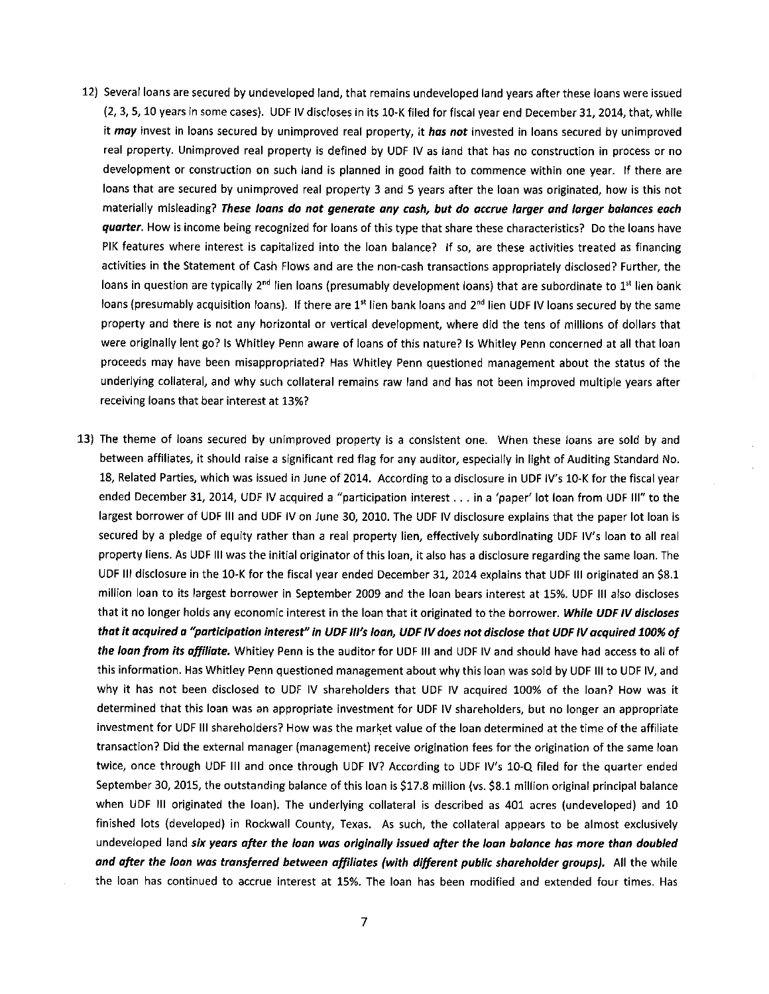- 12) Several loans are secured by undeveloped land, that remains undeveloped land years after these loans were issued (2, 3, 5, 10 years in some cases). UDF IV discloses in its 10-K filed for fiscal year end December 31, 2014, that, while it *may* invest in loans secured by unimproved real property, **it** *has not* invested in loans secured by unimproved real property. Unimproved real property is defined by UDF IV as land that has no construction in process or no development or construction on such land is planned in good faith to commence within one year. If there are loans that are secured by unimproved real property 3 and 5 years after the loan was originated, how is this not materially misleading? *These loans do not generate any cash, but do accrue larger and larger balances each quarter.* How is income being recognized for loans of this type that share these characteristics? Do the loans have PIK features where interest is capitalized into the loan balance? If so, are these activities treated as financing activities in the Statement of Cash Flows and are the non-cash transactions appropriately disclosed? Further, the loans in question are typically 2<sup>nd</sup> lien loans (presumably development loans) that are subordinate to 1<sup>st</sup> lien bank loans (presumably acquisition loans). If there are  $1<sup>st</sup>$  lien bank loans and  $2<sup>nd</sup>$  lien UDF IV loans secured by the same property and there is not any horizontal or vertical development, where did the tens of millions of dollars that were originally lent go? Is Whitley Penn aware of loans of this nature? Is Whitley Penn concerned at all that loan proceeds may have been misappropriated? Has Whitley Penn questioned management about the status of the underlying collateral, and why such collateral remains raw land and has not been improved multiple years after receiving loans that bear interest at 13%?
- 13) The theme of loans secured by unimproved property is a consistent one. When these loans are sold by and between affiliates, it should raise a significant red flag for any auditor, especially in light of Auditing Standard No. 18, Related Parties, which was issued in June of 2014. According to a disclosure in UDF IV's 10-K for the fiscal year ended December 31, 2014, UDF IV acquired a "participation interest ... in a 'paper' lot loan from UDF Ill" to the largest borrower of UDF Ill and UDF IV on June 30, 2010. The UDF IV disclosure explains that the paper lot loan is secured by a pledge of equity rather than a real property lien, effectively subordinating UDF IV's loan to all real property liens. As UDF Ill was the initial originator of this loan, it also has a disclosure regarding the same loan. The UDF Ill disclosure in the 10-K for the fiscal year ended December 31, 2014 explains that UDF Ill originated an \$8.1 million loan to its largest borrower in September 2009 and the loan bears interest at 15%. UDF Ill also discloses that it no longer holds any economic interest in the loan that it originated to the borrower. *While UOF IV discloses that it acquired a ''participation interest" in UOF Ill's loan, UOF IV does not disclose that UOF IV acquired 100% of the loan from its affiliate.* Whitley Penn is the auditor for UDF Ill and UDF IV and should have had access to all of this information. Has Whitley Penn questioned management about why this loan was sold by UDF Ill to UDF IV, and why it has not been disclosed to UDF IV shareholders that UDF IV acquired 100% of the loan? How was it determined that this loan was an appropriate investment for UDF IV shareholders, but no longer an appropriate investment for UDF Ill shareholders? How was the market value of the loan determined at the time of the affiliate transaction? Did the external manager (management) receive origination fees for the origination of the same loan twice, once through UDF Ill and once through UDF IV? According to UDF IV's 10-Q filed for the quarter ended September 30, 2015, the outstanding balance of this loan is \$17.8 million (vs. \$8.1 million original principal balance when UDF Ill originated the loan). The underlying collateral is described as 401 acres (undeveloped) and 10 finished lots (developed) in Rockwall County, Texas. As such, the collateral appears to be almost exclusively undeveloped land *six years after the loan was originally issued after the loan balance has more than doubled and after the loan was transferred between affiliates (with different public shareholder groups).* All the while the loan has continued to accrue interest at 15%. The loan has been modified and extended four times. Has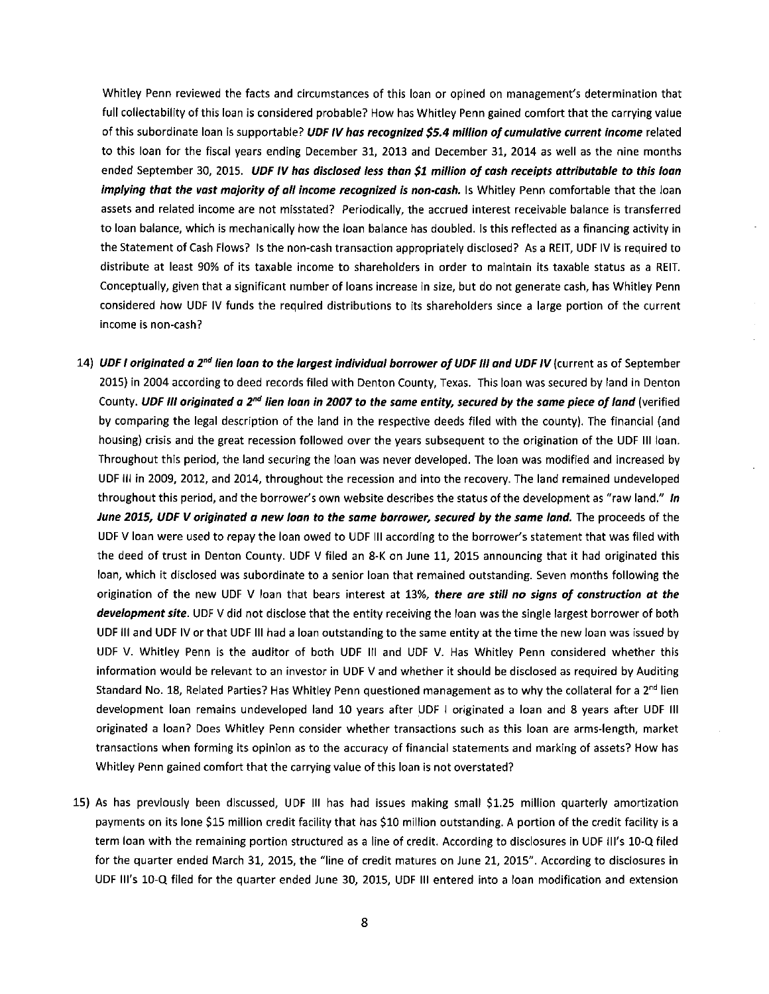Whitley Penn reviewed the facts and circumstances of this loan or opined on management's determination that full collectability of this loan is considered probable? How has Whitley Penn gained comfort that the carrying value of this subordinate loan is supportable? **UDF IV has recognized \$5.4 million of cumulative current income** related to this loan for the fiscal years ending December 31, 2013 and December 31, 2014 as well as the nine months ended September 30, 2015. **UDF IV has disclosed less than \$1 million of cash receipts attributable to this loan implying that the vast majority of all income recognized is non-cash.** Is Whitley Penn comfortable that the loan assets and related income are not misstated? Periodically, the accrued interest receivable balance is transferred to loan balance, which is mechanically how the loan balance has doubled. Is this reflected as a financing activity in the Statement of Cash Flows? Is the non-cash transaction appropriately disclosed? As a REIT, UDF IV is required to distribute at least 90% of its taxable income to shareholders in order to maintain its taxable status as a REIT. Conceptually, given that a significant number of loans increase in size, but do not generate cash, has Whitley Penn considered how UDF IV funds the required distributions to its shareholders since a large portion of the current income is non-cash?

- 14) **UDF** I **originated a 2***nd* **lien loon to the largest individual borrower of UDF** Ill **and UDF IV** (current as of September 2015) in 2004 according to deed records filed with Denton County, Texas. This loan was secured by land in Denton County. **UDF** *Ill* **originated a 2***nd* **lien loan in 2007 to the same entity, secured** *by* **the same piece of land** (verified by comparing the legal description of the land in the respective deeds filed with the county). The financial (and housing) crisis and the great recession followed over the years subsequent to the origination of the UDF Ill loan. Throughout this period, the land securing the loan was never developed. The loan was modified and increased by UDF Ill in 2009, 2012, and 2014, throughout the recession and into the recovery. The land remained undeveloped throughout this period, and the borrower's own website describes the status of the development as "raw land." In **June 2015, UDF V originated a new loan to the same borrower, secured by the same land.** The proceeds of the UDF V loan were used to repay the loan owed to UDF Ill according to the borrower's statement that was filed with the deed of trust in Denton County. UDF V filed an 8-K on June 11, 2015 announcing that it had originated this loan, which it disclosed was subordinate to a senior loan that remained outstanding. Seven months following the origination of the new UDF V loan that bears interest at 13%, **there are still no signs of construction at the development site.** UDF V did not disclose that the entity receiving the loan was the single largest borrower of both UDF Ill and UDF IV or that UDF Ill had a loan outstanding to the same entity at the time the new loan was issued by UDF V. Whitley Penn is the auditor of both UDF Ill and UDF V. Has Whitley Penn considered whether this information would be relevant to an investor in UDF V and whether it should be disclosed as required by Auditing Standard No. 18, Related Parties? Has Whitley Penn questioned management as to why the collateral for a 2<sup>nd</sup> lien development loan remains undeveloped land 10 years after UDF I originated a loan and 8 years after UDF Ill originated a loan? Does Whitley Penn consider whether transactions such as this loan are arms-length, market transactions when forming its opinion as to the accuracy of financial statements and marking of assets? How has Whitley Penn gained comfort that the carrying value of this loan is not overstated?
- 15) As has previously been discussed, UDF Ill has had issues making small \$1.25 million quarterly amortization payments on its lone \$15 million credit facility that has \$10 million outstanding. A portion of the credit facility is a term loan with the remaining portion structured as a line of credit. According to disclosures in UDF Ill's 10-Q filed for the quarter ended March 31, 2015, the "line of credit matures on June 21, 2015". According to disclosures in UDF Ill's 10-Q filed for the quarter ended June 30, 2015, UDF Ill entered into a loan modification and extension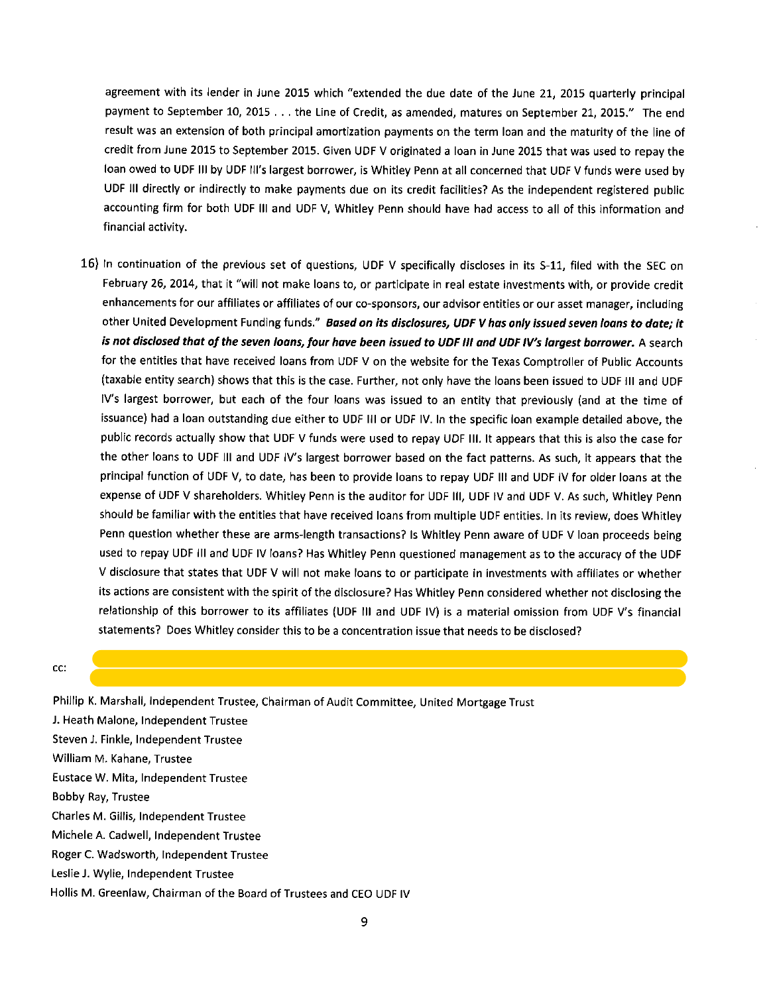agreement with its lender in June 2015 which "extended the due date of the June 21, 2015 quarterly principal payment to September 10, 2015 ... the Line of Credit, as amended, matures on September 21, 2015." The end result was an extension of both principal amortization payments on the term loan and the maturity of the line of credit from June 2015 to September 2015. Given UDF V originated a loan in June 2015 that was used to repay the loan owed to UDF Ill by UDF Ill's largest borrower, is Whitley Penn at all concerned that UDF V funds were used by UDF Ill directly or indirectly to make payments due on its credit facilities? As the independent registered public accounting firm for both UDF Ill and UDF V, Whitley Penn should have had access to all of this information and financial activity.

- 16) In continuation of the previous set of questions, UDF V specifically discloses in its S-11, filed with the SEC on February 26, 2014, that it "will not make loans to, or participate in real estate investments with, or provide credit enhancements for our affiliates or affiliates of our co-sponsors, our advisor entities or our asset manager, including other United Development Funding funds." *Based on its disclosures, UDF V has only issued seven loans to date; it is not disclosed that of the seven loans, four have been issued to UDF Ill and UDF IV's largest borrower.* A search for the entities that have received loans from UDF V on the website for the Texas Comptroller of Public Accounts (taxable entity search) shows that this is the case. Further, not only have the loans been issued to UDF Ill and UDF IV's largest borrower, but each of the four loans was issued to an entity that previously (and at the time of issuance) had a loan outstanding due either to UDF Ill or UDF IV. In the specific loan example detailed above, the public records actually show that UDF V funds were used to repay UDF Ill. It appears that this is also the case for the other loans to UDF Ill and UDF IV's largest borrower based on the fact patterns. As such, it appears that the principal function of UDF V, to date, has been to provide loans to repay UDF Ill and UDF IV for older loans at the expense of UDF V shareholders. Whitley Penn is the auditor for UDF Ill, UDF IV and UDF V. As such, Whitley Penn should be familiar with the entities that have received loans from multiple UDF entities. In its review, does Whitley Penn question whether these are arms-length transactions? Is Whitley Penn aware of UDF V loan proceeds being used to repay UDF Ill and UDF IV loans? Has Whitley Penn questioned management as to the accuracy of the UDF V disclosure that states that UDF V will not make loans to or participate in investments with affiliates or whether its actions are consistent with the spirit of the disclosure? Has Whitley Penn considered whether not disclosing the relationship of this borrower to its affiliates (UDF Ill and UDF IV) is a material omission from UDF V's financial statements? Does Whitley consider this to be a concentration issue that needs to be disclosed?
- cc:

Phillip K. Marshall, Independent Trustee, Chairman of Audit Committee, United Mortgage Trust J. Heath Malone, Independent Trustee Steven J. Finkle, Independent Trustee William M. Kahane, Trustee Eustace W. Mita, Independent Trustee Bobby Ray, Trustee Charles M. Gillis, Independent Trustee Michele A. Cadwell, Independent Trustee Roger C. Wadsworth, Independent Trustee Leslie J. Wylie, Independent Trustee Hollis **M.** Greenlaw, Chairman of the Board of Trustees and CEO UDF IV